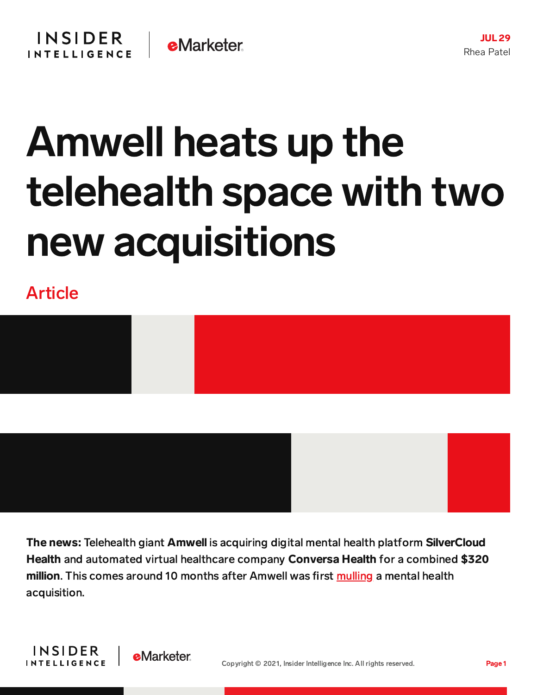## Amwell heats up the telehealth space with two new acquisitions

Article



The news: Telehealth giant Amwell is acquiring digital mental health platform SilverCloud Health and automated virtual healthcare company Conversa Health for a combined \$320 million. This comes around 10 months after Amwell was first [mulling](https://www.businessinsider.com/amwell-hops-on-telehealth-merger-acquisition-bandwagon-2020-11) a mental health acquisition.

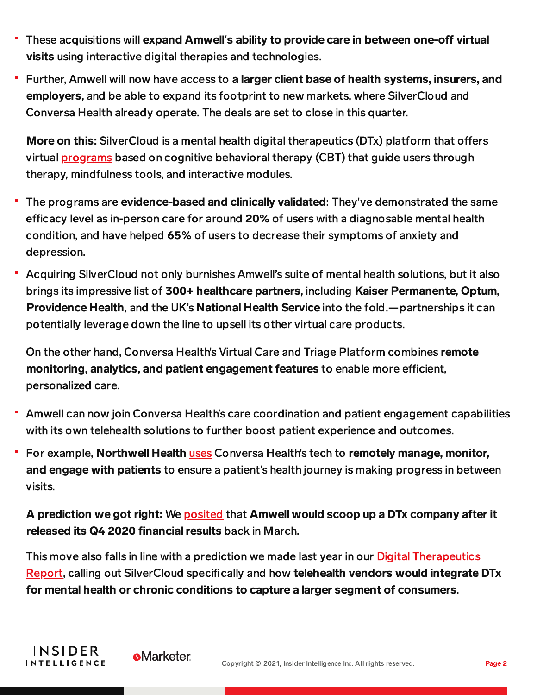- These acquisitions will expand Amwell's ability to provide care in between one-off virtual visits using interactive digital therapies and technologies.
- Further, Amwell will now have access to a larger client base of health systems, insurers, and employers, and be able to expand its footprint to new markets, where SilverCloud and Conversa Health already operate. The deals are set to close in this quarter.

More on this: SilverCloud is a mental health digital therapeutics (DTx) platform that offers virtual [programs](https://www.silvercloudhealth.com/on-demand-digital-mental-health-and-wellbeing-programs) based on cognitive behavioral therapy (CBT) that guide users through therapy, mindfulness tools, and interactive modules.

- The programs are **evidence-based and clinically validated**: They've demonstrated the same efficacy level as in-person care for around 20% of users with a diagnosable mental health condition, and have helped 65% of users to decrease their symptoms of anxiety and depression.
- Acquiring SilverCloud not only burnishes Amwell's suite of mental health solutions, but it also brings its impressive list of 300+ healthcare partners, including Kaiser Permanente, Optum, Providence Health, and the UK's National Health Service into the fold.—partnerships it can potentially leverage down the line to upsell its other virtual care products.

On the other hand, Conversa Health's Virtual Care and Triage Platform combines remote monitoring, analytics, and patient engagement features to enable more efficient, personalized care.

- Amwell can now join Conversa Health's care coordination and patient engagement capabilities with its own telehealth solutions to further boost patient experience and outcomes.
- For example, Northwell Health [uses](https://medcitynews.com/2018/10/northwell-health-conversa/?rf=1) Conversa Health's tech to remotely manage, monitor, and engage with patients to ensure a patient's health journey is making progress in between visits.

A prediction we got right: We **[posited](https://content-na1.emarketer.com/amwell-s-65-annual-growth-could-mean-it-s-ready-follow-teladoc-s-footsteps-scoop-up-dtx-firm) that Amwell would scoop up a DT**x company after it released its Q4 2020 financial results back in March.

This move also falls in line with a prediction we made last year in our Digital Therapeutics Report, calling out [SilverCloud](https://content-na1.emarketer.com/digital-therapeutics-report) specifically and how telehealth vendors would integrate DTx for mental health or chronic conditions to capture a larger segment of consumers.

**INSIDER** 

**INTELLIGENCE** 

**e**Marketer